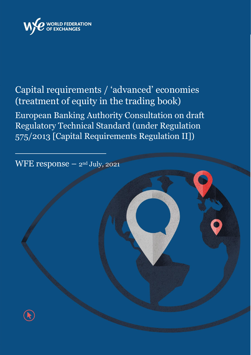

## Capital requirements / 'advanced' economies (treatment of equity in the trading book) European Banking Authority Consultation on draft Regulatory Technical Standard (under Regulation 575/2013 [Capital Requirements Regulation II])

WFE response – 2nd July, 2021

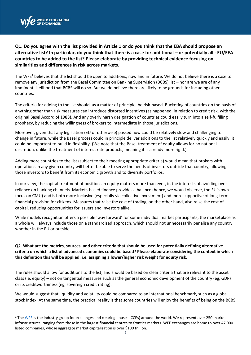

**Q1. Do you agree with the list provided in Article 1 or do you think that the EBA should propose an alternative list? In particular, do you think that there is a case for additional – or potentially all - EU/EEA countries to be added to the list? Please elaborate by providing technical evidence focusing on similarities and differences in risk across markets.** 

The WFE<sup>1</sup> believes that the list should be open to additions, now and in future. We do not believe there is a case to remove any jurisdiction from the Basel Committee on Banking Supervision (BCBS) list – nor are we are of any imminent likelihood that BCBS will do so. But we do believe there are likely to be grounds for including other countries.

The criteria for adding to the list should, as a matter of principle, be risk-based. Bucketing of countries on the basis of anything other than risk measures can introduce distorted incentives (as happened, in relation to credit risk, with the original Basel Accord of 1988). And any overly harsh designation of countries could easily turn into a self-fulfilling prophecy, by reducing the willingness of brokers to intermediate in those jurisdictions.

Moreover, given that any legislation (EU or otherwise) passed now could be relatively slow and challenging to change in future, while the Basel process could in principle deliver additions to the list relatively quickly and easily, it could be important to build in flexibility. (We note that the Basel treatment of equity allows for no national discretion, unlike the treatment of interest rate products, meaning it is already more rigid.)

Adding more countries to the list (subject to their meeting appropriate criteria) would mean that brokers with operations in any given country will better be able to serve the needs of investors outside that country, allowing those investors to benefit from its economic growth and to diversify portfolios.

In our view, the capital treatment of positions in equity matters more than ever, in the interests of avoiding overreliance on banking channels. Markets-based finance provides a balance (hence, we would observe, the EU's own focus on CMU) and is both more inclusive (especially via collective investment) and more supportive of long-term financial provision for citizens. Measures that raise the cost of trading, on the other hand, also raise the cost of capital, reducing opportunities for issuers and investors alike.

While models recognition offers a possible 'way forward' for some individual market participants, the marketplace as a whole will always include those on a standardised approach, which should not unnecessarily penalise any country, whether in the EU or outside.

## **Q2. What are the metrics, sources, and other criteria that should be used for potentially defining alternative criteria on which a list of advanced economies could be based? Please elaborate considering the context in which this definition this will be applied, i.e. assigning a lower/higher risk weight for equity risk.**

The rules should allow for additions to the list, and should be based on clear criteria that are relevant to the asset class (ie, equity) – not on tangential measures such as the general economic development of the country (eg, GDP) or its creditworthiness (eg, sovereign credit rating).

We would suggest that liquidity and volatility could be compared to an international benchmark, such as a global stock index. At the same time, the practical reality is that some countries will enjoy the benefits of being on the BCBS

<sup>&</sup>lt;sup>1</sup> The [WFE](https://www.world-exchanges.org/) is the industry group for exchanges and clearing houses (CCPs) around the world. We represent over 250 market infrastructures, ranging from those in the largest financial centres to frontier markets. WFE exchanges are home to over 47,000 listed companies, whose aggregate market capitalisation is over \$100 trillion.